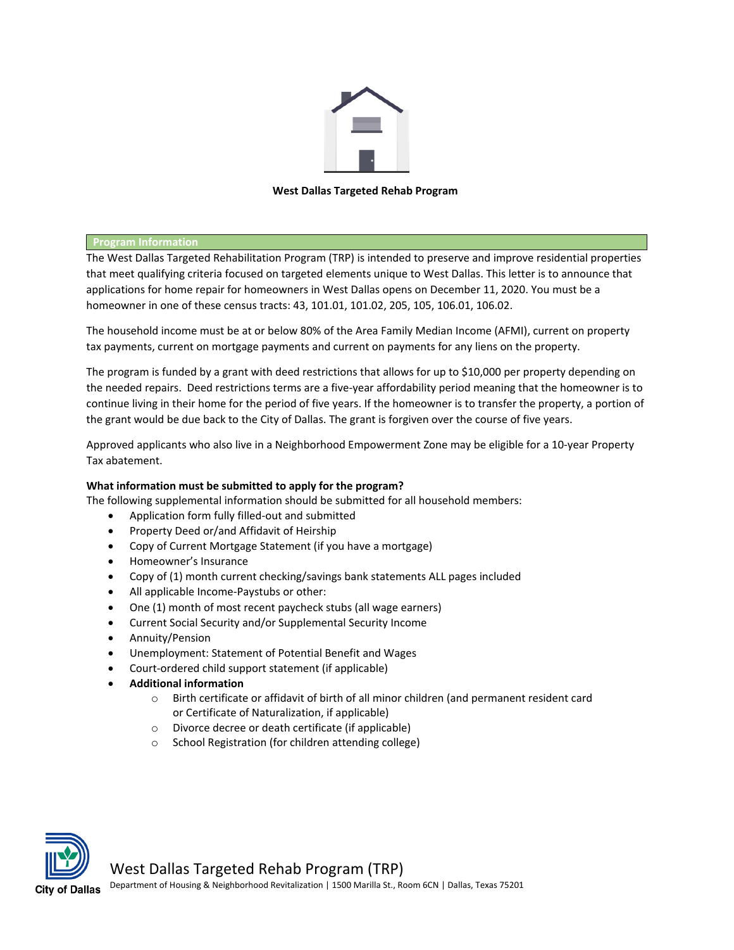

# **West Dallas Targeted Rehab Program**

### **Program Information**

The West Dallas Targeted Rehabilitation Program (TRP) is intended to preserve and improve residential properties that meet qualifying criteria focused on targeted elements unique to West Dallas. This letter is to announce that applications for home repair for homeowners in West Dallas opens on December 11, 2020. You must be a homeowner in one of these census tracts: 43, 101.01, 101.02, 205, 105, 106.01, 106.02.

The household income must be at or below 80% of the Area Family Median Income (AFMI), current on property tax payments, current on mortgage payments and current on payments for any liens on the property.

The program is funded by a grant with deed restrictions that allows for up to \$10,000 per property depending on the needed repairs. Deed restrictions terms are a five-year affordability period meaning that the homeowner is to continue living in their home for the period of five years. If the homeowner is to transfer the property, a portion of the grant would be due back to the City of Dallas. The grant is forgiven over the course of five years.

Approved applicants who also live in a Neighborhood Empowerment Zone may be eligible for a 10-year Property Tax abatement.

### **What information must be submitted to apply for the program?**

The following supplemental information should be submitted for all household members:

- Application form fully filled-out and submitted
- Property Deed or/and Affidavit of Heirship
- Copy of Current Mortgage Statement (if you have a mortgage)
- Homeowner's Insurance
- Copy of (1) month current checking/savings bank statements ALL pages included
- All applicable Income-Paystubs or other:
- One (1) month of most recent paycheck stubs (all wage earners)
- Current Social Security and/or Supplemental Security Income
- Annuity/Pension
- Unemployment: Statement of Potential Benefit and Wages
- Court-ordered child support statement (if applicable)
- **Additional information**
	- o Birth certificate or affidavit of birth of all minor children (and permanent resident card or Certificate of Naturalization, if applicable)
	- o Divorce decree or death certificate (if applicable)
	- o School Registration (for children attending college)